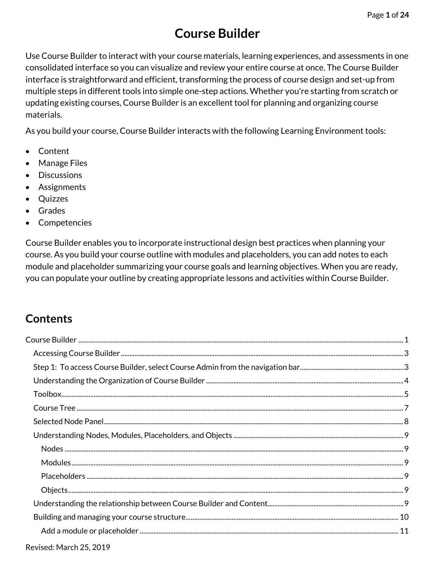# **Course Builder**

<span id="page-0-0"></span>Use Course Builder to interact with your course materials, learning experiences, and assessments in one consolidated interface so you can visualize and review your entire course at once. The Course Builder interface is straightforward and efficient, transforming the process of course design and set-up from multiple steps in different tools into simple one-step actions. Whether you're starting from scratch or updating existing courses, Course Builder is an excellent tool for planning and organizing course materials.

As you build your course, Course Builder interacts with the following Learning Environment tools:

- Content
- Manage Files
- Discussions
- **Assignments**
- Quizzes
- **Grades**
- **Competencies**

Course Builder enables you to incorporate instructional design best practices when planning your course. As you build your course outline with modules and placeholders, you can add notes to each module and placeholder summarizing your course goals and learning objectives. When you are ready, you can populate your outline by creating appropriate lessons and activities within Course Builder.

# **Contents**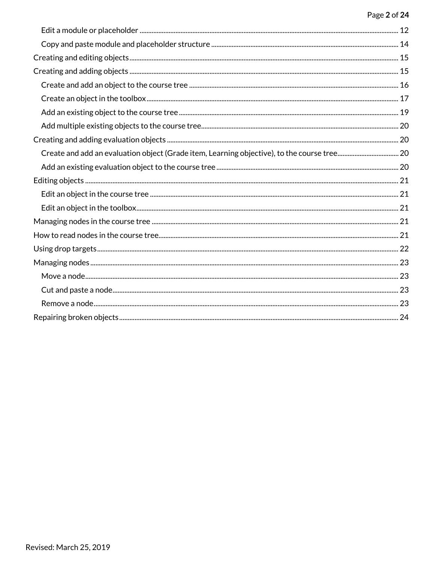#### Page 2 of 24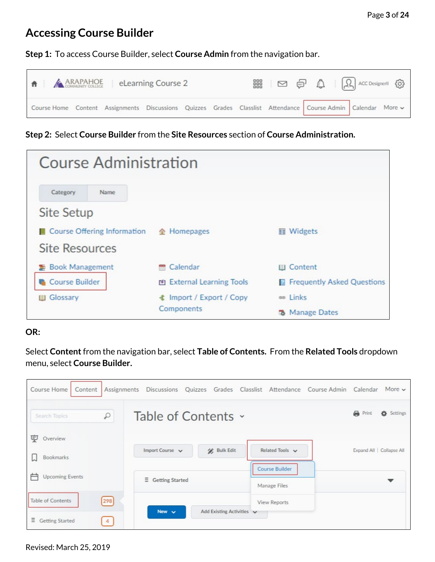## <span id="page-2-0"></span>**Accessing Course Builder**

<span id="page-2-1"></span>**Step 1:** To access Course Builder, select **Course Admin** from the navigation bar.



**Step 2:** Select **Course Builder** from the **Site Resources** section of **Course Administration.**

| <b>Course Administration</b> |                                 |                                     |
|------------------------------|---------------------------------|-------------------------------------|
| Category<br>Name             |                                 |                                     |
| <b>Site Setup</b>            |                                 |                                     |
| Course Offering Information  | <b>企</b> Homepages              | <b>图 Widgets</b>                    |
| <b>Site Resources</b>        |                                 |                                     |
| Book Management              | <sup>m</sup> Calendar           | <b>III</b> Content                  |
| Course Builder               | M External Learning Tools       | <b>R</b> Frequently Asked Questions |
| Glossary                     | <b>≰ Import / Export / Copy</b> | an Links                            |
|                              | Components                      | <b>Manage Dates</b><br>ъ            |

#### **OR:**

Select **Content**from the navigation bar, select **Table of Contents.** From the **Related Tools** dropdown menu, select **Course Builder.**

| Course Home<br>Content                                                      | Assignments Discussions Quizzes Grades Classlist Attendance Course Admin Calendar | More $\vee$              |
|-----------------------------------------------------------------------------|-----------------------------------------------------------------------------------|--------------------------|
| $\varphi$<br>Search Topics                                                  | Table of Contents ~                                                               | <b>Print</b><br>Settings |
| 叓<br>Overview<br><b>Bookmarks</b>                                           | Import Course v<br><b>Bulk Edit</b><br>Related Tools v                            | Expand All Collapse All  |
| <b>Upcoming Events</b>                                                      | <b>Course Builder</b><br>Ξ<br><b>Getting Started</b><br>Manage Files              |                          |
| [298]<br><b>Table of Contents</b><br>Ξ<br>Getting Started<br>$\overline{4}$ | View Reports<br>New $\sim$<br>Add Existing Activities v                           |                          |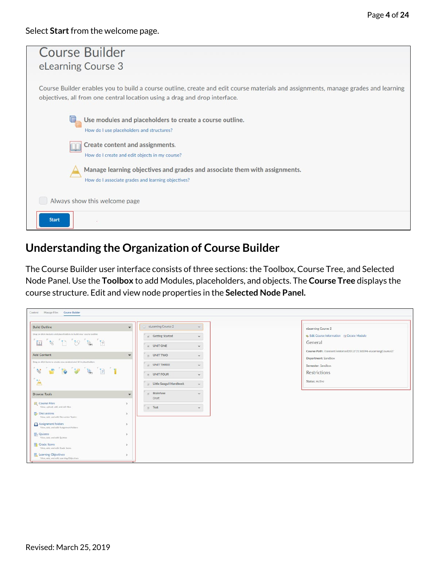| <b>Course Builder</b><br>eLearning Course 3                                                                                                                                                                      |
|------------------------------------------------------------------------------------------------------------------------------------------------------------------------------------------------------------------|
| Course Builder enables you to build a course outline, create and edit course materials and assignments, manage grades and learning<br>objectives, all from one central location using a drag and drop interface. |
| Use modules and placeholders to create a course outline.<br>How do I use placeholders and structures?                                                                                                            |
| Create content and assignments.<br>How do I create and edit objects in my course?                                                                                                                                |
| Manage learning objectives and grades and associate them with assignments.<br>How do I associate grades and learning objectives?                                                                                 |
| Always show this welcome page                                                                                                                                                                                    |
| <b>Start</b>                                                                                                                                                                                                     |

## <span id="page-3-0"></span>**Understanding the Organization of Course Builder**

The Course Builder user interface consists of three sections: the Toolbox, Course Tree, and Selected Node Panel. Use the **Toolbox** to add Modules, placeholders, and objects. The **Course Tree** displays the course structure. Edit and view node properties in the **Selected Node Panel.**

| <b>Build Outline</b>                                                                                                                                                                                                                                                                                                                         | $\overline{\phantom{0}}$ | $=$ eLearning Course 2    | $\checkmark$ | eLearning Course 2                                           |
|----------------------------------------------------------------------------------------------------------------------------------------------------------------------------------------------------------------------------------------------------------------------------------------------------------------------------------------------|--------------------------|---------------------------|--------------|--------------------------------------------------------------|
| Drag or click modules and placeholders to build your course outline                                                                                                                                                                                                                                                                          |                          | e Getting Started         | $\checkmark$ | Gedit Course Information F Create Module                     |
| $\begin{picture}(130,15) \put(0,0){\line(1,0){155}} \put(15,0){\line(1,0){155}} \put(15,0){\line(1,0){155}} \put(15,0){\line(1,0){155}} \put(15,0){\line(1,0){155}} \put(15,0){\line(1,0){155}} \put(15,0){\line(1,0){155}} \put(15,0){\line(1,0){155}} \put(15,0){\line(1,0){155}} \put(15,0){\line(1,0){155}} \put(15,0){\line(1,0){155}}$ |                          | ONIT ONE                  | $\checkmark$ | General                                                      |
|                                                                                                                                                                                                                                                                                                                                              |                          |                           |              | Course Path: /content/enforced2012/2150394-eLearningCourse2/ |
| <b>Add Content</b>                                                                                                                                                                                                                                                                                                                           |                          | a UNIT TWO                | $\checkmark$ | Department: Sandbox                                          |
| Drag or click items to create new content and fill in placeholders                                                                                                                                                                                                                                                                           |                          | a UNIT THREE              | $\checkmark$ | Semester: Sandbox                                            |
| $\begin{array}{ccc} \mathbf{N} & \mathbf{S} & \mathbf{S} & \mathbf{S} & \mathbf{S} & \mathbf{S} & \mathbf{S} & \mathbf{S} \end{array}$                                                                                                                                                                                                       |                          | UNIT FOUR                 | $\checkmark$ | Restrictions                                                 |
| $\mathbf{A}$                                                                                                                                                                                                                                                                                                                                 |                          | a Little Seagull Handbook | $\checkmark$ | <b>Status: Active</b>                                        |
| <b>Browse Tools</b>                                                                                                                                                                                                                                                                                                                          |                          | a Brainfuse<br>Draft      | $\checkmark$ |                                                              |
| Course Files<br>View, upload, add, and edit files                                                                                                                                                                                                                                                                                            |                          | $e$ Test                  | $\checkmark$ |                                                              |
| <b>Discussions</b><br>View, add, and edit Discussion Topics                                                                                                                                                                                                                                                                                  | $\rightarrow$            |                           |              |                                                              |
| Assignment folders<br>View, add, and edit Assignment folders                                                                                                                                                                                                                                                                                 | - 5                      |                           |              |                                                              |
| Quizzes<br>View, add, and edit Quizzes                                                                                                                                                                                                                                                                                                       | $\sim$                   |                           |              |                                                              |
| Grade Items<br>View, add, and edit Grade Items                                                                                                                                                                                                                                                                                               | $\rightarrow$            |                           |              |                                                              |
| Learning Objectives<br>View, add, and edit Learning Objectives                                                                                                                                                                                                                                                                               | $\sim$                   |                           |              |                                                              |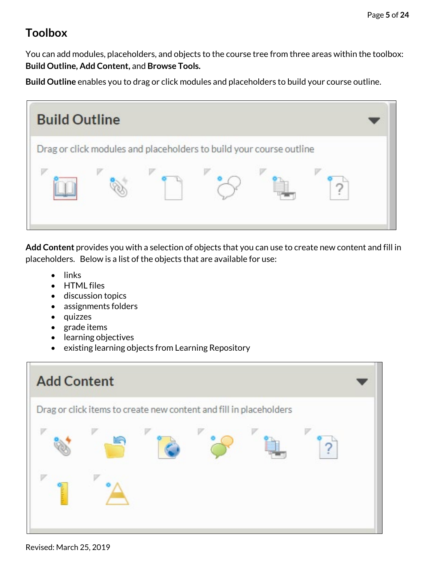# <span id="page-4-0"></span>**Toolbox**

You can add modules, placeholders, and objects to the course tree from three areas within the toolbox: **Build Outline, Add Content,** and **Browse Tools.**

**Build Outline** enables you to drag or click modules and placeholders to build your course outline.



**Add Content** provides you with a selection of objects that you can use to create new content and fill in placeholders. Below is a list of the objects that are available for use:

- links
- HTML files
- discussion topics
- assignments folders
- quizzes
- grade items
- learning objectives
- existing learning objects from Learning Repository



Revised: March 25, 2019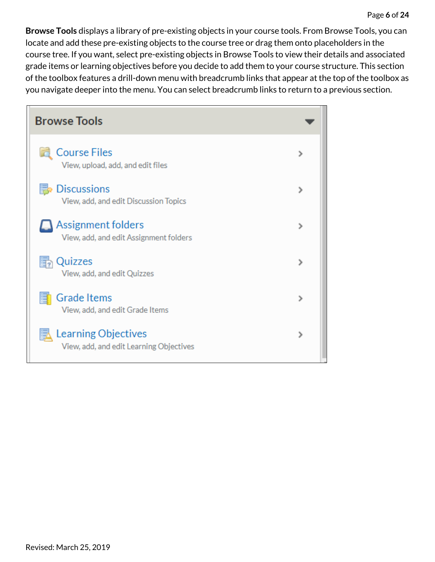**Browse Tools** displays a library of pre-existing objects in your course tools. From Browse Tools, you can locate and add these pre-existing objects to the course tree or drag them onto placeholders in the course tree. If you want, select pre-existing objects in Browse Tools to view their details and associated grade items or learning objectives before you decide to add them to your course structure. This section of the toolbox features a drill-down menu with breadcrumb links that appear at the top of the toolbox as you navigate deeper into the menu. You can select breadcrumb links to return to a previous section.

<span id="page-5-0"></span>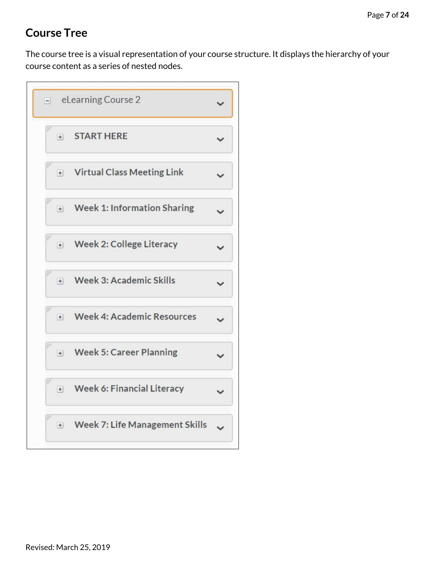# **Course Tree**

The course tree is a visual representation of your course structure. It displays the hierarchy of your course content as a series of nested nodes.

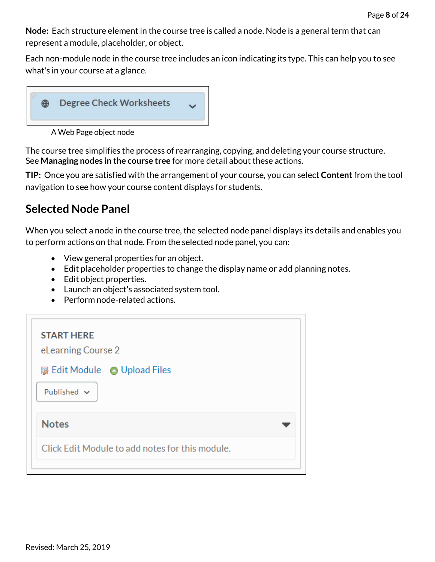**Node:** Each structure element in the course tree is called a node. Node is a general term that can represent a module, placeholder, or object.

Each non-module node in the course tree includes an icon indicating its type. This can help you to see what's in your course at a glance.



A Web Page object node

The course tree simplifies the process of rearranging, copying, and deleting your course structure. See **Managing nodes in the course tree** for more detail about these actions.

**TIP:** Once you are satisfied with the arrangement of your course, you can select **Content**from the tool navigation to see how your course content displays for students.

### <span id="page-7-0"></span>**Selected Node Panel**

When you select a node in the course tree, the selected node panel displays its details and enables you to perform actions on that node. From the selected node panel, you can:

- View general properties for an object.
- Edit placeholder properties to change the display name or add planning notes.
- Edit object properties.
- Launch an object's associated system tool.
- Perform node-related actions.

| <b>START HERE</b><br>eLearning Course 2<br><b>I</b> Edit Module ● Upload Files<br>Published $\vee$ |
|----------------------------------------------------------------------------------------------------|
| <b>Notes</b>                                                                                       |
| Click Edit Module to add notes for this module.                                                    |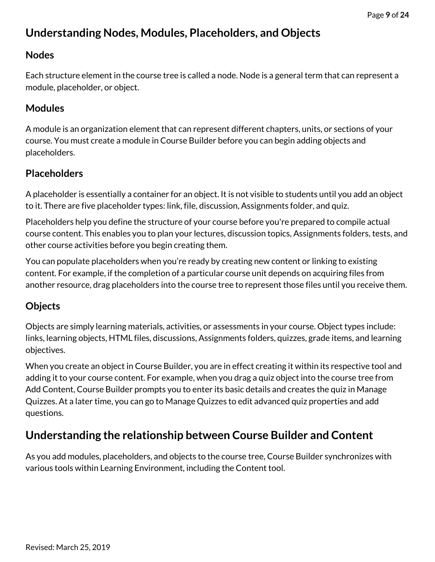# <span id="page-8-0"></span>**Understanding Nodes, Modules, Placeholders, and Objects**

#### <span id="page-8-1"></span>**Nodes**

Each structure element in the course tree is called a node. Node is a general term that can represent a module, placeholder, or object.

### <span id="page-8-2"></span>**Modules**

A module is an organization element that can represent different chapters, units, or sections of your course. You must create a module in Course Builder before you can begin adding objects and placeholders.

### <span id="page-8-3"></span>**Placeholders**

A placeholder is essentially a container for an object. It is not visible to students until you add an object to it. There are five placeholder types: link, file, discussion, Assignments folder, and quiz.

Placeholders help you define the structure of your course before you're prepared to compile actual course content. This enables you to plan your lectures, discussion topics, Assignments folders, tests, and other course activities before you begin creating them.

You can populate placeholders when you're ready by creating new content or linking to existing content. For example, if the completion of a particular course unit depends on acquiring files from another resource, drag placeholders into the course tree to represent those files until you receive them.

### <span id="page-8-4"></span>**Objects**

Objects are simply learning materials, activities, or assessments in your course. Object types include: links, learning objects, HTML files, discussions, Assignments folders, quizzes, grade items, and learning objectives.

When you create an object in Course Builder, you are in effect creating it within its respective tool and adding it to your course content. For example, when you drag a quiz object into the course tree from Add Content, Course Builder prompts you to enter its basic details and creates the quiz in Manage Quizzes. At a later time, you can go to Manage Quizzes to edit advanced quiz properties and add questions.

# <span id="page-8-5"></span>**Understanding the relationship between Course Builder and Content**

As you add modules, placeholders, and objects to the course tree, Course Builder synchronizes with various tools within Learning Environment, including the Content tool.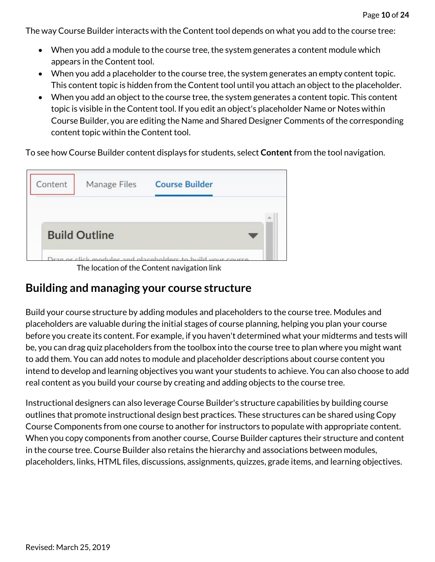The way Course Builder interacts with the Content tool depends on what you add to the course tree:

- When you add a module to the course tree, the system generates a content module which appears in the Content tool.
- When you add a placeholder to the course tree, the system generates an empty content topic. This content topic is hidden from the Content tool until you attach an object to the placeholder.
- When you add an object to the course tree, the system generates a content topic. This content topic is visible in the Content tool. If you edit an object's placeholder Name or Notes within Course Builder, you are editing the Name and Shared Designer Comments of the corresponding content topic within the Content tool.

To see how Course Builder content displays for students, select **Content**from the tool navigation.



The location of the Content navigation link

### <span id="page-9-0"></span>**Building and managing your course structure**

Build your course structure by adding modules and placeholders to the course tree. Modules and placeholders are valuable during the initial stages of course planning, helping you plan your course before you create its content. For example, if you haven't determined what your midterms and tests will be, you can drag quiz placeholders from the toolbox into the course tree to plan where you might want to add them. You can add notes to module and placeholder descriptions about course content you intend to develop and learning objectives you want your students to achieve. You can also choose to add real content as you build your course by creating and adding objects to the course tree.

Instructional designers can also leverage Course Builder's structure capabilities by building course outlines that promote instructional design best practices. These structures can be shared using Copy Course Components from one course to another for instructors to populate with appropriate content. When you copy components from another course, Course Builder captures their structure and content in the course tree. Course Builder also retains the hierarchy and associations between modules, placeholders, links, HTML files, discussions, assignments, quizzes, grade items, and learning objectives.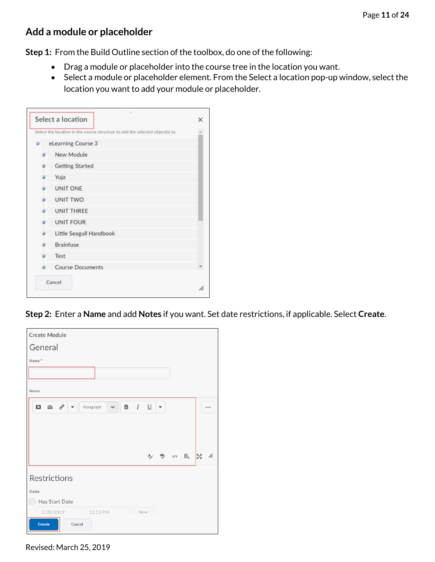#### <span id="page-10-0"></span>**Add a module or placeholder**

**Step 1:** From the Build Outline section of the toolbox, do one of the following:

- Drag a module or placeholder into the course tree in the location you want.
- Select a module or placeholder element. From the Select a location pop-up window, select the location you want to add your module or placeholder.

|    | Select the location in the course structure to add the selected object(s) to. |   |
|----|-------------------------------------------------------------------------------|---|
| 日  | eLearning Course 3                                                            |   |
| 田  | New Module                                                                    |   |
| 田  | <b>Getting Started</b>                                                        |   |
| 田  | Yuja                                                                          |   |
| 审  | <b>UNIT ONE</b>                                                               |   |
|    | <b>E UNIT TWO</b>                                                             |   |
|    | <b>E UNIT THREE</b>                                                           |   |
| 田  | <b>UNIT FOUR</b>                                                              |   |
| 田  | Little Seagull Handbook                                                       |   |
| 田  | <b>Brainfuse</b>                                                              |   |
| 田" | Test                                                                          |   |
| 田  | <b>Course Documents</b>                                                       |   |
|    | Cancel                                                                        |   |
|    |                                                                               | h |

**Step 2:** Enter a **Name** and add **Notes** if you want. Set date restrictions, if applicable. Select **Create**.

| <b>Create Module</b>                                          |             |                          |                               |                        |          |  |
|---------------------------------------------------------------|-------------|--------------------------|-------------------------------|------------------------|----------|--|
| General                                                       |             |                          |                               |                        |          |  |
| Name <sup>*</sup>                                             |             |                          |                               |                        |          |  |
|                                                               |             |                          |                               |                        |          |  |
| <b>Notes</b>                                                  |             |                          |                               |                        |          |  |
| $\Box$ $\hat{\omega}$ $o^{\circ}$<br>Paragraph<br>$\check{~}$ | $B$ $I$ $U$ |                          | $\textcolor{red}{\textbf{v}}$ |                        |          |  |
|                                                               |             |                          |                               |                        |          |  |
|                                                               |             |                          |                               |                        |          |  |
|                                                               |             | $\overline{\mathcal{A}}$ |                               | $\%$ $\omega$ $\alpha$ | $33 - 4$ |  |
| <b>Restrictions</b>                                           |             |                          |                               |                        |          |  |
| <b>Dates</b>                                                  |             |                          |                               |                        |          |  |
| Has Start Date                                                |             |                          |                               |                        |          |  |
| Ш<br>2/20/2019<br>12:13 PM                                    | Now         |                          |                               |                        |          |  |
| <b>Create</b><br>Cancel                                       |             |                          |                               |                        |          |  |

Revised: March 25, 2019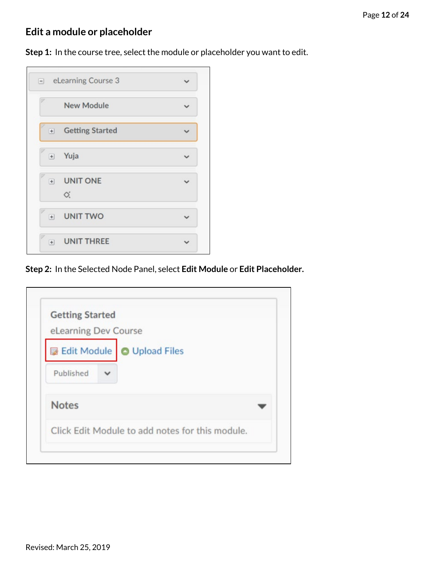# <span id="page-11-0"></span>**Edit a module or placeholder**

Step 1: In the course tree, select the module or placeholder you want to edit.

| $\boxed{-}$              | eLearning Course 3     |  |
|--------------------------|------------------------|--|
|                          | <b>New Module</b>      |  |
| $+$                      | <b>Getting Started</b> |  |
| $\boxed{+}$              | Yuja                   |  |
| $\boxed{+}$              | <b>UNIT ONE</b><br>♂.  |  |
| $\overline{\phantom{a}}$ | <b>UNIT TWO</b>        |  |
| $+$                      | <b>UNIT THREE</b>      |  |

**Step 2:** In the Selected Node Panel, select **Edit Module** or **Edit Placeholder.**

| <b>Getting Started</b><br>eLearning Dev Course |                                                 |
|------------------------------------------------|-------------------------------------------------|
|                                                | Edit Module   O Upload Files                    |
| Published                                      |                                                 |
| <b>Notes</b>                                   |                                                 |
|                                                | Click Edit Module to add notes for this module. |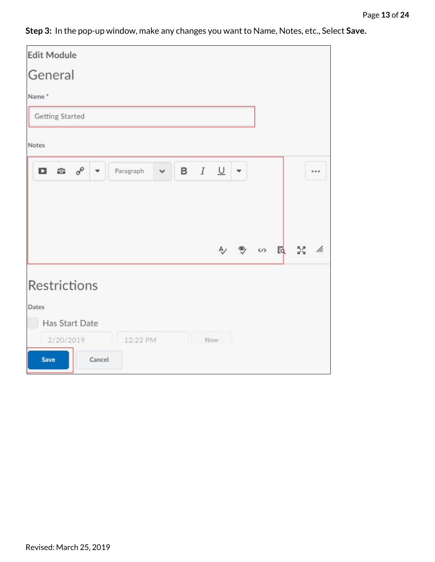**Step 3:** In the pop-up window, make any changes you want to Name, Notes, etc., Select **Save.**

| <b>Edit Module</b>                             |        |           |              |     |             |  |                 |  |
|------------------------------------------------|--------|-----------|--------------|-----|-------------|--|-----------------|--|
| General                                        |        |           |              |     |             |  |                 |  |
| Name*                                          |        |           |              |     |             |  |                 |  |
| <b>Getting Started</b>                         |        |           |              |     |             |  |                 |  |
| <b>Notes</b>                                   |        |           |              |     |             |  |                 |  |
| D.<br>$\widehat{\mathfrak{m}}$ $\sigma^{\rho}$ |        | Paragraph | $\checkmark$ |     | $B$ $I$ $U$ |  |                 |  |
|                                                |        |           |              |     |             |  | A) B (n) E 23 / |  |
| <b>Restrictions</b>                            |        |           |              |     |             |  |                 |  |
| <b>Dates</b><br><b>Has Start Date</b>          |        |           |              |     |             |  |                 |  |
|                                                |        |           |              |     |             |  |                 |  |
| 2/20/2019<br><b>Save</b>                       | Cancel | 12:22 PM  |              | Now |             |  |                 |  |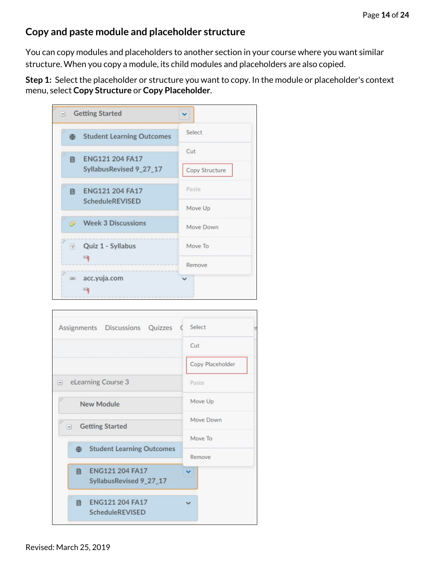#### <span id="page-13-0"></span>**Copy and paste module and placeholder structure**

You can copy modules and placeholders to another section in your course where you want similar structure. When you copy a module, its child modules and placeholders are also copied.

**Step 1:** Select the placeholder or structure you want to copy. In the module or placeholder's context menu, select **Copy Structure** or **Copy Placeholder**.

| $\vert - \vert$      | <b>Getting Started</b>                            |                       |
|----------------------|---------------------------------------------------|-----------------------|
| ⊕                    | <b>Student Learning Outcomes</b>                  | Select                |
| 目                    | <b>ENG121 204 FA17</b><br>SyllabusRevised 9_27_17 | Cut<br>Copy Structure |
| 目                    | <b>ENG121 204 FA17</b><br><b>ScheduleREVISED</b>  | Paste<br>Move Up      |
|                      | <b>Week 3 Discussions</b>                         | Move Down             |
| $\overrightarrow{r}$ | Quiz 1 - Syllabus<br>国                            | Move To<br>Remove     |
| $\circledast$        | acc.yuja.com<br>国歌                                | $\checkmark$          |

| Assignments Discussions Quizzes                 | Select<br>Ħ      |  |  |
|-------------------------------------------------|------------------|--|--|
|                                                 | Cut              |  |  |
|                                                 | Copy Placeholder |  |  |
| eLearning Course 3<br>$\vert - \vert$           | Paste            |  |  |
| <b>New Module</b>                               | Move Up          |  |  |
| <b>Getting Started</b><br>$-1$                  | Move Down        |  |  |
|                                                 | Move To          |  |  |
| <b>Student Learning Outcomes</b><br>$\bigoplus$ | Remove           |  |  |
| 目 ENG121 204 FA17<br>SyllabusRevised 9_27_17    |                  |  |  |
| 目 ENG121 204 FA17<br>ScheduleREVISED            |                  |  |  |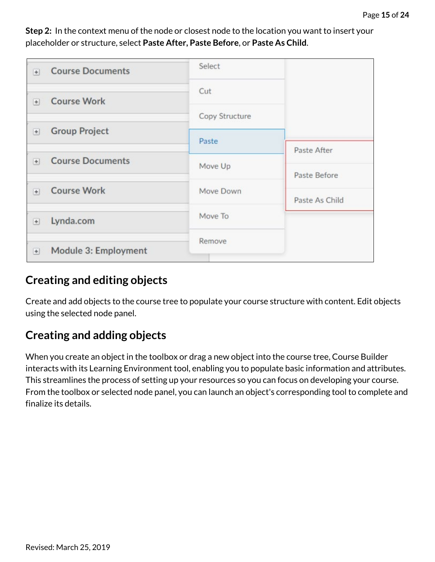Select **Course Documents**  $+$ Cut **Course Work**  $+$ Copy Structure **Group Project**  $\begin{matrix} \begin{matrix} + \end{matrix} \end{matrix}$ Paste Paste After **Course Documents**  $+$ Move Up Paste Before **Course Work**  $+$ Move Down Paste As Child Move To Lynda.com  $+$ Remove Module 3: Employment  $+$ 

**Step 2:** In the context menu of the node or closest node to the location you want to insert your placeholder or structure, select **Paste After, Paste Before**, or **Paste As Child**.

### <span id="page-14-0"></span>**Creating and editing objects**

Create and add objects to the course tree to populate your course structure with content. Edit objects using the selected node panel.

# <span id="page-14-1"></span>**Creating and adding objects**

When you create an object in the toolbox or drag a new object into the course tree, Course Builder interacts with its Learning Environment tool, enabling you to populate basic information and attributes. This streamlines the process of setting up your resources so you can focus on developing your course. From the toolbox or selected node panel, you can launch an object's corresponding tool to complete and finalize its details.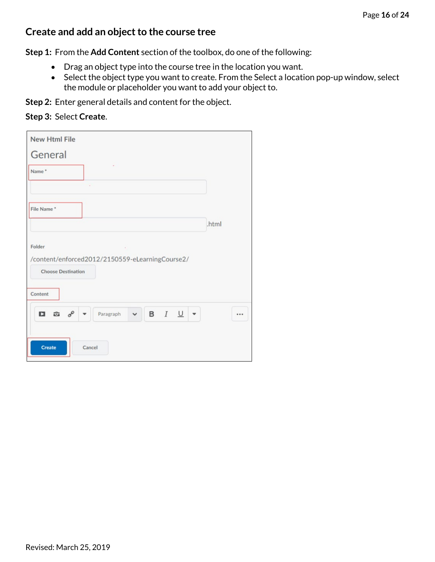#### <span id="page-15-0"></span>**Create and add an object to the course tree**

**Step 1:** From the **Add Content** section of the toolbox, do one of the following:

- Drag an object type into the course tree in the location you want.
- Select the object type you want to create. From the Select a location pop-up window, select the module or placeholder you want to add your object to.

**Step 2:** Enter general details and content for the object.

#### **Step 3:** Select **Create**.

| <b>New Html File</b>                                     |                  |              |                    |              |       |  |
|----------------------------------------------------------|------------------|--------------|--------------------|--------------|-------|--|
| General                                                  |                  |              |                    |              |       |  |
| Name*                                                    |                  |              |                    |              |       |  |
|                                                          | ÷                |              |                    |              |       |  |
| File Name*                                               |                  |              |                    |              |       |  |
|                                                          |                  |              |                    |              | .html |  |
| Folder                                                   | $\sim$ 10 $\sim$ |              |                    |              |       |  |
| /content/enforced2012/2150559-eLearningCourse2/          |                  |              |                    |              |       |  |
| <b>Choose Destination</b>                                |                  |              |                    |              |       |  |
| Content                                                  |                  |              |                    |              |       |  |
| $\mathbf{D}$<br>$\widehat{\omega}$ $\sigma^{\circ}$<br>▼ | Paragraph        | $\checkmark$ | <b>B</b> $I \perp$ | $\mathbf{v}$ |       |  |
|                                                          |                  |              |                    |              |       |  |
| <b>Create</b>                                            | Cancel           |              |                    |              |       |  |
|                                                          |                  |              |                    |              |       |  |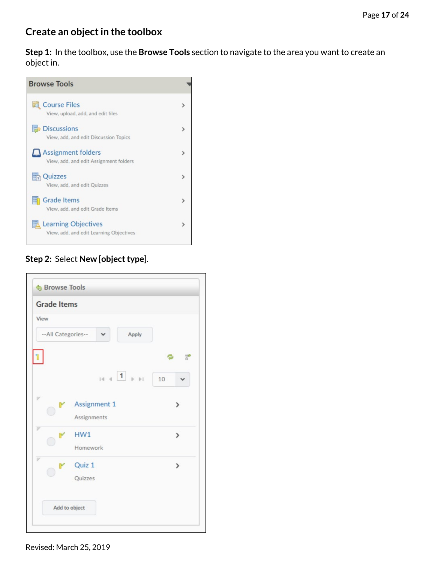### <span id="page-16-0"></span>**Create an object in the toolbox**

**Step 1:** In the toolbox, use the **Browse Tools** section to navigate to the area you want to create an object in.



#### **Step 2:** Select **New [object type]**.

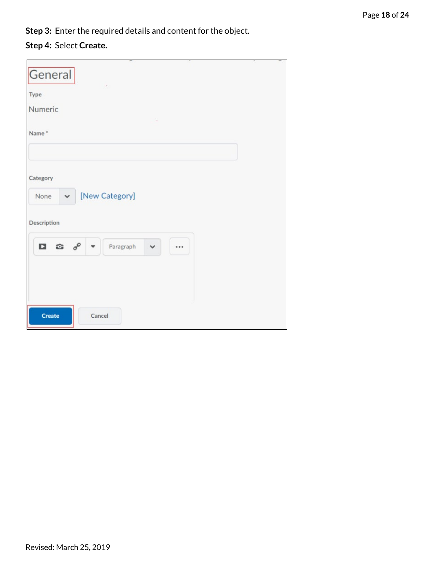**Step 3:** Enter the required details and content for the object.

#### **Step 4:** Select **Create.**

| General                                         |                |              |  |  |
|-------------------------------------------------|----------------|--------------|--|--|
| Type<br>Numeric                                 |                |              |  |  |
| Name*                                           |                |              |  |  |
| Category<br>None<br>$\checkmark$<br>Description | [New Category] |              |  |  |
| $\Box$ $\hat{c}$<br>$\sigma^{\circ}$            | Paragraph<br>▼ | $\checkmark$ |  |  |
|                                                 |                |              |  |  |
| Create                                          | Cancel         |              |  |  |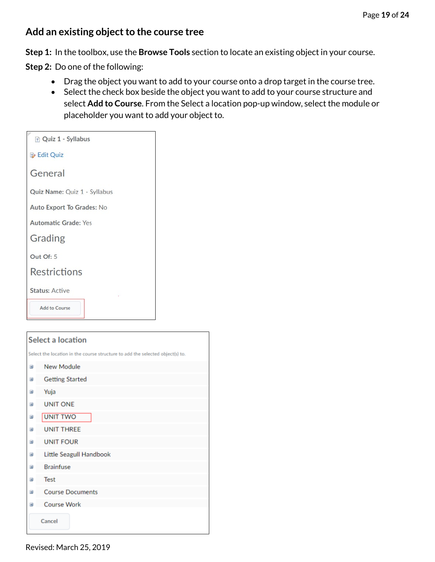#### <span id="page-18-0"></span>**Add an existing object to the course tree**

**Step 1:** In the toolbox, use the **Browse Tools** section to locate an existing object in your course.

**Step 2:** Do one of the following:

- Drag the object you want to add to your course onto a drop target in the course tree.
- Select the check box beside the object you want to add to your course structure and select **Add to Course**. From the Select a location pop-up window, select the module or placeholder you want to add your object to.

| $\sqrt{2}$ Quiz 1 - Syllabus |
|------------------------------|
| <b>2</b> Edit Quiz           |
| General                      |
| Quiz Name: Quiz 1 - Syllabus |
| Auto Export To Grades: No    |
| <b>Automatic Grade: Yes</b>  |
| Grading                      |
| Out Of: 5                    |
| <b>Restrictions</b>          |
| <b>Status: Active</b>        |
| <b>Add to Course</b>         |
|                              |

|                | <b>Select a location</b>                                                      |  |  |  |  |  |
|----------------|-------------------------------------------------------------------------------|--|--|--|--|--|
|                | Select the location in the course structure to add the selected object(s) to. |  |  |  |  |  |
| <b>H</b>       | New Module                                                                    |  |  |  |  |  |
| $\pm$          | <b>Getting Started</b>                                                        |  |  |  |  |  |
| Đ              | Yuja                                                                          |  |  |  |  |  |
| $\overline{+}$ | <b>UNIT ONE</b>                                                               |  |  |  |  |  |
| Đ              | <b>UNIT TWO</b>                                                               |  |  |  |  |  |
| Đ              | <b>UNIT THREE</b>                                                             |  |  |  |  |  |
| $\pm$          | <b>UNIT FOUR</b>                                                              |  |  |  |  |  |
| $\pm$          | Little Seagull Handbook                                                       |  |  |  |  |  |
| Đ              | <b>Brainfuse</b>                                                              |  |  |  |  |  |
| Đ              | <b>Test</b>                                                                   |  |  |  |  |  |
| 田              | <b>Course Documents</b>                                                       |  |  |  |  |  |
| $\pm$          | <b>Course Work</b>                                                            |  |  |  |  |  |
| Cancel         |                                                                               |  |  |  |  |  |
|                |                                                                               |  |  |  |  |  |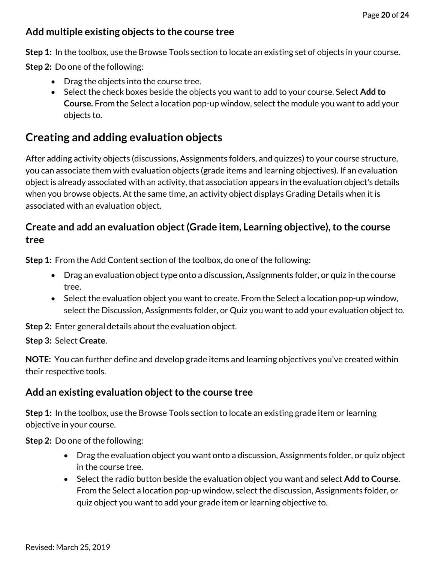### <span id="page-19-0"></span>**Add multiple existing objects to the course tree**

**Step 1:** In the toolbox, use the Browse Tools section to locate an existing set of objects in your course.

**Step 2:** Do one of the following:

- Drag the objects into the course tree.
- Select the check boxes beside the objects you want to add to your course. Select **Add to Course.** From the Select a location pop-up window, select the module you want to add your objects to.

# <span id="page-19-1"></span>**Creating and adding evaluation objects**

After adding activity objects (discussions, Assignments folders, and quizzes) to your course structure, you can associate them with evaluation objects (grade items and learning objectives). If an evaluation object is already associated with an activity, that association appears in the evaluation object's details when you browse objects. At the same time, an activity object displays Grading Details when it is associated with an evaluation object.

### <span id="page-19-2"></span>**Create and add an evaluation object (Grade item, Learning objective), to the course tree**

**Step 1:** From the Add Content section of the toolbox, do one of the following:

- Drag an evaluation object type onto a discussion, Assignments folder, or quiz in the course tree.
- Select the evaluation object you want to create. From the Select a location pop-up window, select the Discussion, Assignments folder, or Quiz you want to add your evaluation object to.

**Step 2:** Enter general details about the evaluation object.

#### **Step 3:** Select **Create**.

**NOTE:** You can further define and develop grade items and learning objectives you've created within their respective tools.

### <span id="page-19-3"></span>**Add an existing evaluation object to the course tree**

**Step 1:** In the toolbox, use the Browse Tools section to locate an existing grade item or learning objective in your course.

**Step 2:** Do one of the following:

- Drag the evaluation object you want onto a discussion, Assignments folder, or quiz object in the course tree.
- Select the radio button beside the evaluation object you want and select **Add to Course**. From the Select a location pop-up window, select the discussion, Assignments folder, or quiz object you want to add your grade item or learning objective to.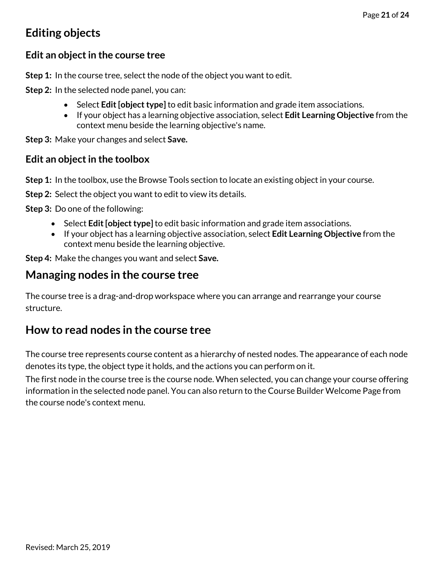# <span id="page-20-0"></span>**Editing objects**

#### <span id="page-20-1"></span>**Edit an object in the course tree**

**Step 1:** In the course tree, select the node of the object you want to edit.

**Step 2:** In the selected node panel, you can:

- Select **Edit [object type]** to edit basic information and grade item associations.
- If your object has a learning objective association, select **Edit Learning Objective** from the context menu beside the learning objective's name.

**Step 3:** Make your changes and select **Save.**

#### <span id="page-20-2"></span>**Edit an object in the toolbox**

**Step 1:** In the toolbox, use the Browse Tools section to locate an existing object in your course.

**Step 2:** Select the object you want to edit to view its details.

**Step 3:** Do one of the following:

- Select **Edit [object type]** to edit basic information and grade item associations.
- If your object has a learning objective association, select **Edit Learning Objective** from the context menu beside the learning objective.

**Step 4:** Make the changes you want and select **Save.**

### <span id="page-20-3"></span>**Managing nodes in the course tree**

The course tree is a drag-and-drop workspace where you can arrange and rearrange your course structure.

## <span id="page-20-4"></span>**How to read nodes in the course tree**

The course tree represents course content as a hierarchy of nested nodes. The appearance of each node denotes its type, the object type it holds, and the actions you can perform on it.

The first node in the course tree is the course node. When selected, you can change your course offering information in the selected node panel. You can also return to the Course Builder Welcome Page from the course node's context menu.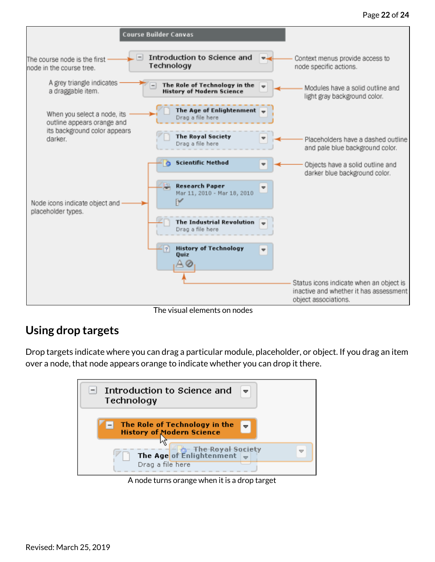

The visual elements on nodes

### <span id="page-21-0"></span>**Using drop targets**

Drop targets indicate where you can drag a particular module, placeholder, or object. If you drag an item over a node, that node appears orange to indicate whether you can drop it there.



A node turns orange when it is a drop target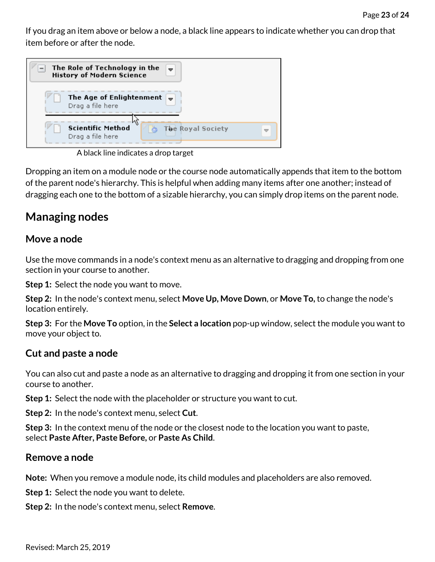If you drag an item above or below a node, a black line appears to indicate whether you can drop that item before or after the node.

| The Role of Technology in the<br>$\Rightarrow$<br><b>History of Modern Science</b> |  |
|------------------------------------------------------------------------------------|--|
| The Age of Enlightenment $\frac{1}{2}$<br>Drag a file here                         |  |
| <b>Scientific Method</b><br><b>The Royal Society</b><br>Drag a file here           |  |

A black line indicates a drop target

Dropping an item on a module node or the course node automatically appends that item to the bottom of the parent node's hierarchy. This is helpful when adding many items after one another; instead of dragging each one to the bottom of a sizable hierarchy, you can simply drop items on the parent node.

## <span id="page-22-0"></span>**Managing nodes**

#### <span id="page-22-1"></span>**Move a node**

Use the move commands in a node's context menu as an alternative to dragging and dropping from one section in your course to another.

**Step 1:** Select the node you want to move.

**Step 2:** In the node's context menu, select **Move Up, Move Down**, or **Move To,** to change the node's location entirely.

**Step 3:** For the **Move To** option, in the **Select a location** pop-up window, select the module you want to move your object to.

#### <span id="page-22-2"></span>**Cut and paste a node**

You can also cut and paste a node as an alternative to dragging and dropping it from one section in your course to another.

**Step 1:** Select the node with the placeholder or structure you want to cut.

**Step 2:** In the node's context menu, select **Cut**.

**Step 3:** In the context menu of the node or the closest node to the location you want to paste, select **Paste After, Paste Before,** or **Paste As Child**.

#### <span id="page-22-3"></span>**Remove a node**

**Note:** When you remove a module node, its child modules and placeholders are also removed.

**Step 1:** Select the node you want to delete.

**Step 2:** In the node's context menu, select **Remove**.